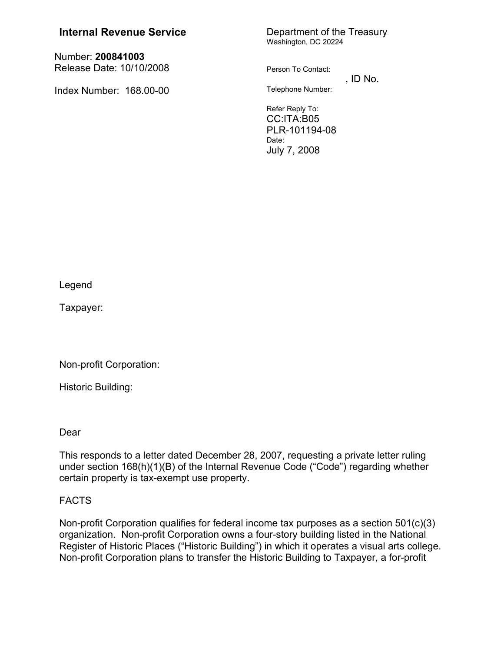## **Internal Revenue Service** Department of the Treasury

Number: **200841003** Release Date: 10/10/2008

Index Number: 168.00-00

# Washington, DC 20224

Person To Contact:

 $,$  ID No. Telephone Number:

Refer Reply To: CC:ITA:B05 PLR-101194-08 Date: July 7, 2008

Legend

Taxpayer:

Non-profit Corporation:

Historic Building:

Dear

This responds to a letter dated December 28, 2007, requesting a private letter ruling under section 168(h)(1)(B) of the Internal Revenue Code ("Code") regarding whether certain property is tax-exempt use property.

### FACTS

Non-profit Corporation qualifies for federal income tax purposes as a section 501(c)(3) organization. Non-profit Corporation owns a four-story building listed in the National Register of Historic Places ("Historic Building") in which it operates a visual arts college. Non-profit Corporation plans to transfer the Historic Building to Taxpayer, a for-profit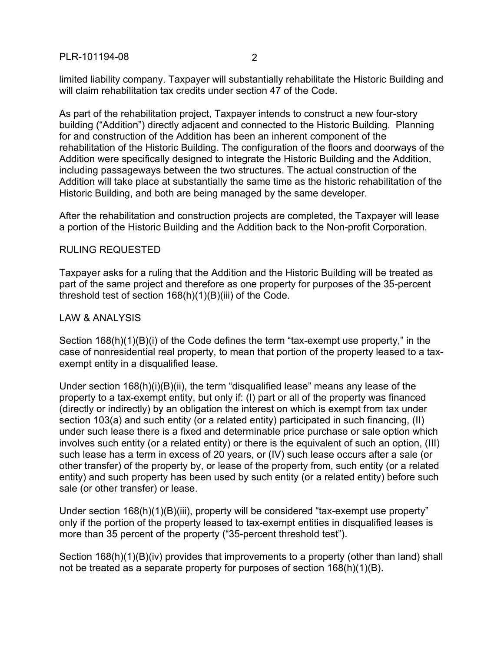limited liability company. Taxpayer will substantially rehabilitate the Historic Building and will claim rehabilitation tax credits under section 47 of the Code.

As part of the rehabilitation project, Taxpayer intends to construct a new four-story building ("Addition") directly adjacent and connected to the Historic Building. Planning for and construction of the Addition has been an inherent component of the rehabilitation of the Historic Building. The configuration of the floors and doorways of the Addition were specifically designed to integrate the Historic Building and the Addition, including passageways between the two structures. The actual construction of the Addition will take place at substantially the same time as the historic rehabilitation of the Historic Building, and both are being managed by the same developer.

After the rehabilitation and construction projects are completed, the Taxpayer will lease a portion of the Historic Building and the Addition back to the Non-profit Corporation.

### RULING REQUESTED

Taxpayer asks for a ruling that the Addition and the Historic Building will be treated as part of the same project and therefore as one property for purposes of the 35-percent threshold test of section 168(h)(1)(B)(iii) of the Code.

### LAW & ANALYSIS

Section 168(h)(1)(B)(i) of the Code defines the term "tax-exempt use property," in the case of nonresidential real property, to mean that portion of the property leased to a taxexempt entity in a disqualified lease.

Under section 168(h)(i)(B)(ii), the term "disqualified lease" means any lease of the property to a tax-exempt entity, but only if: (I) part or all of the property was financed (directly or indirectly) by an obligation the interest on which is exempt from tax under section 103(a) and such entity (or a related entity) participated in such financing, (II) under such lease there is a fixed and determinable price purchase or sale option which involves such entity (or a related entity) or there is the equivalent of such an option, (III) such lease has a term in excess of 20 years, or (IV) such lease occurs after a sale (or other transfer) of the property by, or lease of the property from, such entity (or a related entity) and such property has been used by such entity (or a related entity) before such sale (or other transfer) or lease.

Under section 168(h)(1)(B)(iii), property will be considered "tax-exempt use property" only if the portion of the property leased to tax-exempt entities in disqualified leases is more than 35 percent of the property ("35-percent threshold test").

Section 168(h)(1)(B)(iv) provides that improvements to a property (other than land) shall not be treated as a separate property for purposes of section 168(h)(1)(B).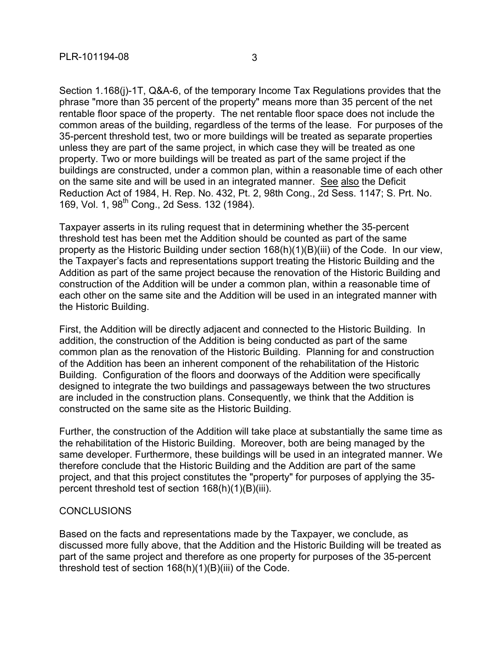Section 1.168(j)-1T, Q&A-6, of the temporary Income Tax Regulations provides that the phrase "more than 35 percent of the property" means more than 35 percent of the net rentable floor space of the property. The net rentable floor space does not include the common areas of the building, regardless of the terms of the lease. For purposes of the 35-percent threshold test, two or more buildings will be treated as separate properties unless they are part of the same project, in which case they will be treated as one property. Two or more buildings will be treated as part of the same project if the buildings are constructed, under a common plan, within a reasonable time of each other on the same site and will be used in an integrated manner. See also the Deficit Reduction Act of 1984, H. Rep. No. 432, Pt. 2, 98th Cong., 2d Sess. 1147; S. Prt. No. 169, Vol. 1, 98<sup>th</sup> Cong., 2d Sess. 132 (1984).

Taxpayer asserts in its ruling request that in determining whether the 35-percent threshold test has been met the Addition should be counted as part of the same property as the Historic Building under section 168(h)(1)(B)(iii) of the Code. In our view, the Taxpayer's facts and representations support treating the Historic Building and the Addition as part of the same project because the renovation of the Historic Building and construction of the Addition will be under a common plan, within a reasonable time of each other on the same site and the Addition will be used in an integrated manner with the Historic Building.

First, the Addition will be directly adjacent and connected to the Historic Building. In addition, the construction of the Addition is being conducted as part of the same common plan as the renovation of the Historic Building. Planning for and construction of the Addition has been an inherent component of the rehabilitation of the Historic Building. Configuration of the floors and doorways of the Addition were specifically designed to integrate the two buildings and passageways between the two structures are included in the construction plans. Consequently, we think that the Addition is constructed on the same site as the Historic Building.

Further, the construction of the Addition will take place at substantially the same time as the rehabilitation of the Historic Building. Moreover, both are being managed by the same developer. Furthermore, these buildings will be used in an integrated manner. We therefore conclude that the Historic Building and the Addition are part of the same project, and that this project constitutes the "property" for purposes of applying the 35 percent threshold test of section 168(h)(1)(B)(iii).

#### CONCLUSIONS

Based on the facts and representations made by the Taxpayer, we conclude, as discussed more fully above, that the Addition and the Historic Building will be treated as part of the same project and therefore as one property for purposes of the 35-percent threshold test of section 168(h)(1)(B)(iii) of the Code.